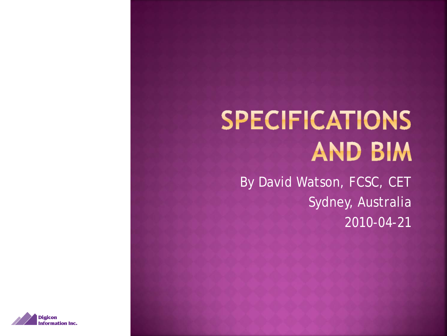## **SPECIFICATIONS AND BIM**

By David Watson, FCSC, CET Sydney, Australia 2010-04-21

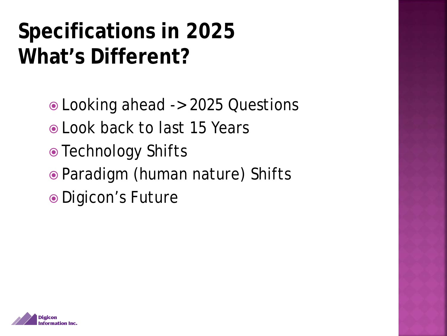#### **Specifications in 2025 What's Different?**

Looking ahead -> 2025 Questions

- Look back to last 15 Years
- Technology Shifts
- Paradigm (human nature) Shifts
- Digicon's Future

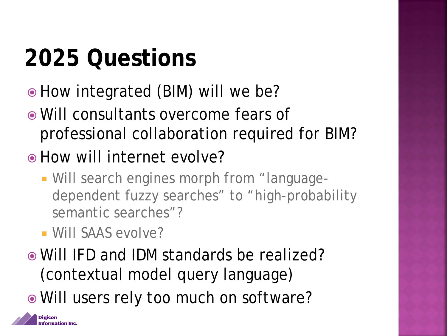## **2025 Questions**

- How integrated (BIM) will we be?
- Will consultants overcome fears of professional collaboration required for BIM?
- How will internet evolve?
	- Will search engines morph from "languagedependent fuzzy searches" to "high-probability semantic searches"?
	- Will SAAS evolve?
- Will IFD and IDM standards be realized? (contextual model query language)
- Will users rely too much on software?

Digicon **nformation Inc.**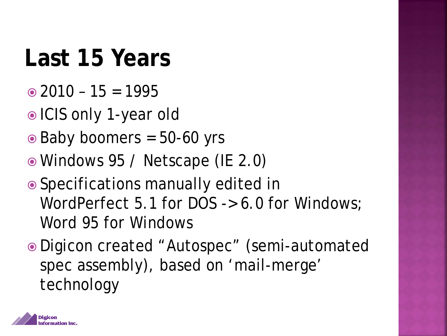## **Last 15 Years**

- $\odot$  2010 15 = 1995
- ICIS only 1-year old
- $\odot$  Baby boomers = 50-60 yrs
- Windows 95 / Netscape (IE 2.0)
- Specifications manually edited in WordPerfect 5.1 for DOS -> 6.0 for Windows; Word 95 for Windows
- Digicon created "Autospec" (semi-automated spec assembly), based on 'mail-merge' technology

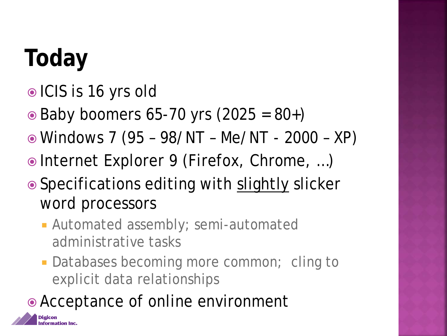## **Today**

Digicon Information Inc.

- ICIS is 16 yrs old
- $\odot$  Baby boomers 65-70 yrs (2025 = 80+)
- Windows 7 (95 98/NT Me/NT 2000 XP)
- Internet Explorer 9 (Firefox, Chrome, …)
- Specifications editing with slightly slicker word processors
	- **Automated assembly; semi-automated** administrative tasks
	- **Databases becoming more common; cling to** explicit data relationships
- Acceptance of online environment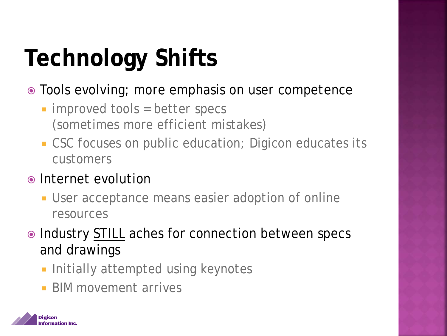## **Technology Shifts**

- Tools evolving; more emphasis on user competence
	- **improved tools = better specs** (sometimes more efficient mistakes)
	- CSC focuses on public education; Digicon educates its customers
- Internet evolution
	- User acceptance means easier adoption of online resources
- Industry STILL aches for connection between specs and drawings
	- **Initially attempted using keynotes**
	- **BIM movement arrives**

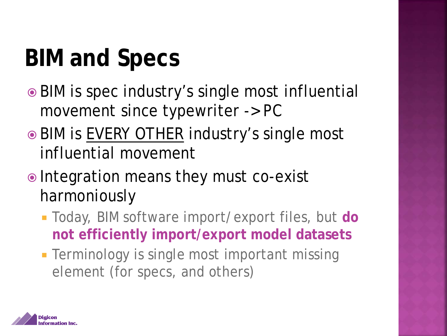## **BIM and Specs**

- BIM is spec industry's single most influential movement since typewriter -> PC
- BIM is EVERY OTHER industry's single most influential movement
- Integration means they must co-exist harmoniously
	- Today, BIM software import/export files, but **do not efficiently import/export model datasets**
	- **Terminology is single most important missing** element (for specs, and others)

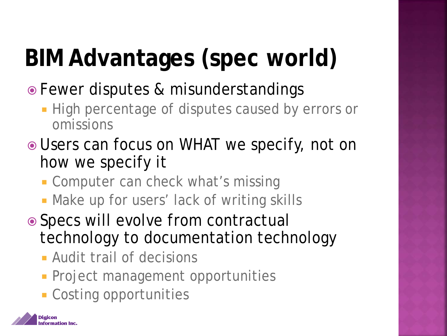# **BIM Advantages (spec world)**

- Fewer disputes & misunderstandings
	- **High percentage of disputes caused by errors or** omissions
- Users can focus on WHAT we specify, not on how we specify it
	- **Computer can check what's missing**
	- **Make up for users' lack of writing skills**
- Specs will evolve from contractual technology to documentation technology
	- Audit trail of decisions
	- **Project management opportunities**
	- **Costing opportunities**

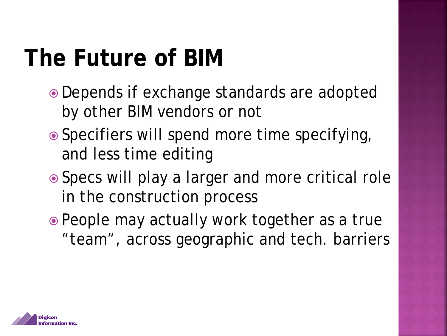#### **The Future of BIM**

- Depends if exchange standards are adopted by other BIM vendors or not
- Specifiers will spend more time specifying, and less time editing
- Specs will play a larger and more critical role in the construction process
- People may actually work together as a true "team", across geographic and tech. barriers